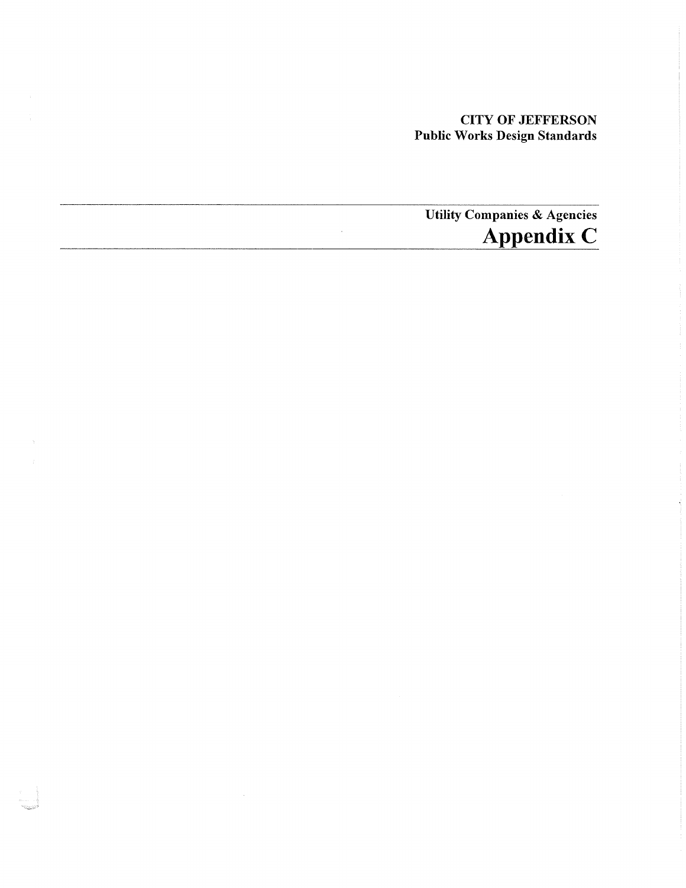## CITY OF JEFFERSON Public Works Design Standards

## Utility Companies & Agencies **Appendix C**  $\hat{\mathcal{A}}$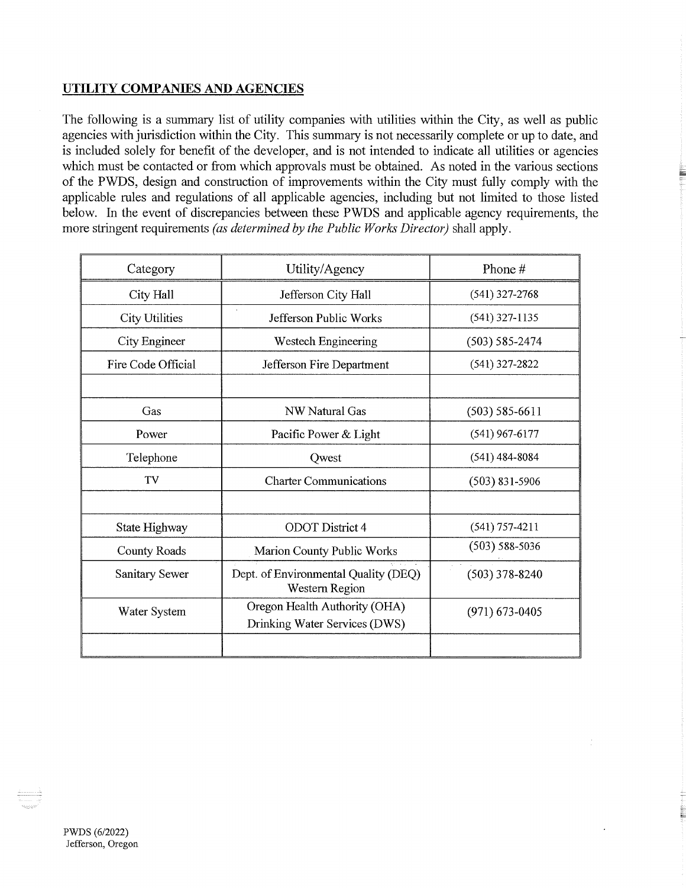## **UTILITY COMPANIES AND AGENCIES**

The following is a summary list of utility companies with utilities within the City, as well as public agencies with jurisdiction within the City. This summary is not necessarily complete or up to date, and is included solely for benefit of the developer, and is not intended to indicate all utilities or agencies which must be contacted or from which approvals must be obtained. As noted in the various sections of the PWDS, design and construction of improvements within the City must fully comply with the applicable rules and regulations of all applicable agencies, including but not limited to those listed below. In the event of discrepancies between these PWDS and applicable agency requirements, the more stringent requirements *(as determined by the Public Works Director)* shall apply.

| Category              | Utility/Agency                                                 | Phone #            |
|-----------------------|----------------------------------------------------------------|--------------------|
| City Hall             | Jefferson City Hall                                            | $(541)$ 327-2768   |
| <b>City Utilities</b> | $\epsilon$<br>Jefferson Public Works                           | $(541)$ 327-1135   |
| City Engineer         | Westech Engineering                                            | $(503) 585 - 2474$ |
| Fire Code Official    | Jefferson Fire Department                                      | $(541)$ 327-2822   |
|                       |                                                                |                    |
| Gas                   | <b>NW Natural Gas</b>                                          | $(503) 585 - 6611$ |
| Power                 | Pacific Power & Light                                          | $(541)$ 967-6177   |
| Telephone             | Qwest                                                          | $(541)$ 484-8084   |
| TV                    | <b>Charter Communications</b>                                  | $(503)$ 831-5906   |
|                       |                                                                |                    |
| State Highway         | <b>ODOT</b> District 4                                         | $(541)$ 757-4211   |
| <b>County Roads</b>   | Marion County Public Works                                     | $(503) 588 - 5036$ |
| Sanitary Sewer        | Dept. of Environmental Quality (DEQ)<br>Western Region         | $(503)$ 378-8240   |
| Water System          | Oregon Health Authority (OHA)<br>Drinking Water Services (DWS) | $(971)$ 673-0405   |
|                       |                                                                |                    |